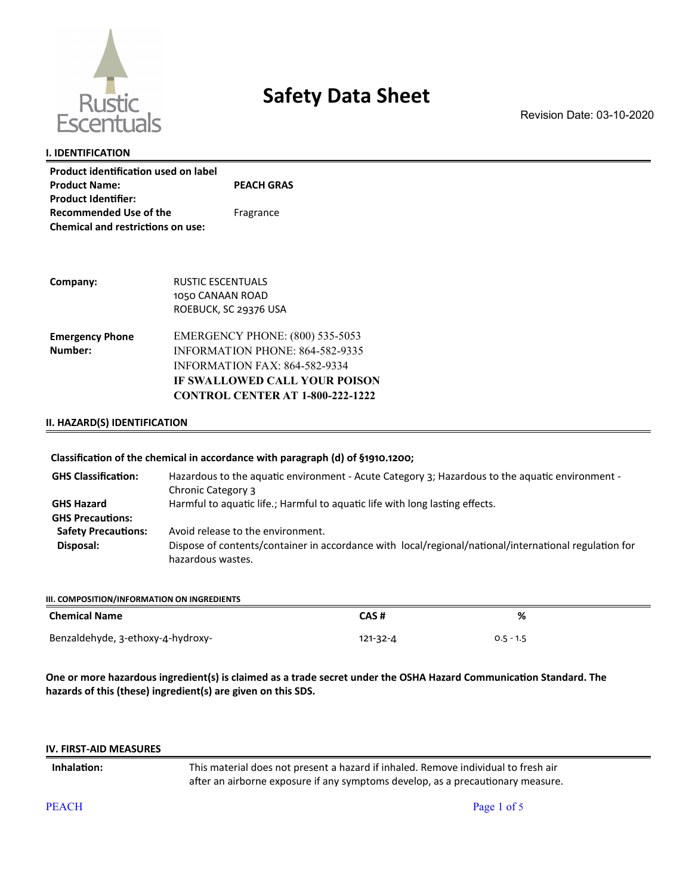

# **Safety Data Sheet**

Revision Date: 03-10-2020

## **I. IDENTIFICATION**

| <b>Product identification used on label</b> |                   |
|---------------------------------------------|-------------------|
| <b>Product Name:</b>                        | <b>PEACH GRAS</b> |
| <b>Product Identifier:</b>                  |                   |
| <b>Recommended Use of the</b>               | Fragrance         |
| <b>Chemical and restrictions on use:</b>    |                   |

| Company:               | <b>RUSTIC ESCENTUALS</b>                |
|------------------------|-----------------------------------------|
|                        | 1050 CANAAN ROAD                        |
|                        | ROEBUCK, SC 29376 USA                   |
| <b>Emergency Phone</b> | <b>EMERGENCY PHONE: (800) 535-5053</b>  |
| Number:                | <b>INFORMATION PHONE: 864-582-9335</b>  |
|                        | <b>INFORMATION FAX: 864-582-9334</b>    |
|                        | IF SWALLOWED CALL YOUR POISON           |
|                        | <b>CONTROL CENTER AT 1-800-222-1222</b> |

## **II. HAZARD(S) IDENTIFICATION**

## **Classification of the chemical in accordance with paragraph (d) of §1910.1200;**

| <b>GHS Classification:</b> | Hazardous to the aquatic environment - Acute Category 3; Hazardous to the aquatic environment -<br>Chronic Category 3      |
|----------------------------|----------------------------------------------------------------------------------------------------------------------------|
| <b>GHS Hazard</b>          | Harmful to aquatic life.; Harmful to aquatic life with long lasting effects.                                               |
| <b>GHS Precautions:</b>    |                                                                                                                            |
| <b>Safety Precautions:</b> | Avoid release to the environment.                                                                                          |
| Disposal:                  | Dispose of contents/container in accordance with local/regional/national/international regulation for<br>hazardous wastes. |

| III. COMPOSITION/INFORMATION ON INGREDIENTS |                |             |
|---------------------------------------------|----------------|-------------|
| <b>Chemical Name</b>                        | CAS#           | %           |
| Benzaldehyde, 3-ethoxy-4-hydroxy-           | $121 - 32 - 4$ | $0.5 - 1.5$ |

**One or more hazardous ingredient(s) is claimed as a trade secret under the OSHA Hazard Communication Standard. The hazards of this (these) ingredient(s) are given on this SDS.** 

#### **IV. FIRST-AID MEASURES**

**Inhalation:** This material does not present a hazard if inhaled. Remove individual to fresh air after an airborne exposure if any symptoms develop, as a precautionary measure.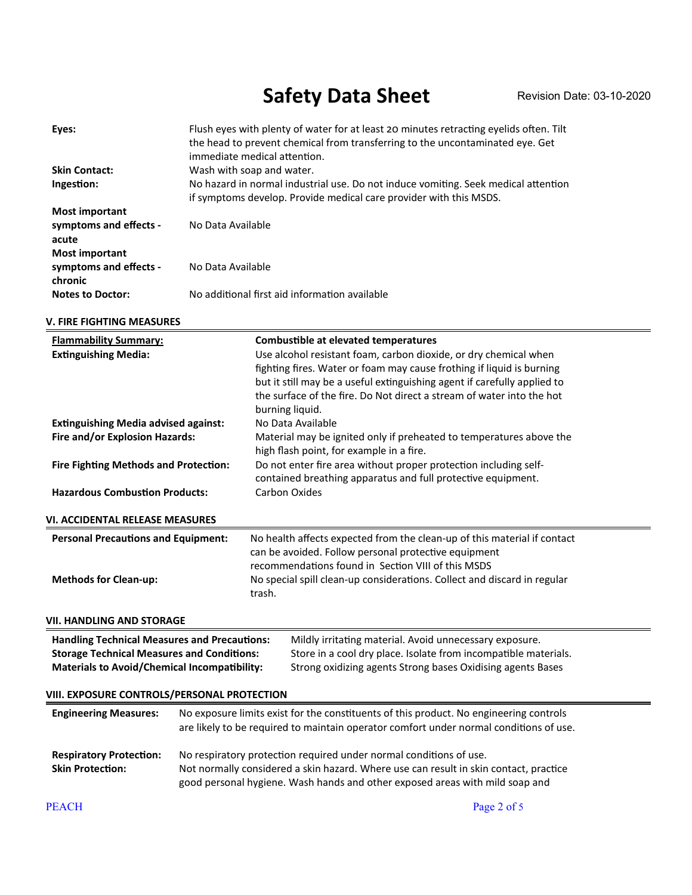# Safety Data Sheet Revision Date: 03-10-2020

| Eyes:                             | Flush eyes with plenty of water for at least 20 minutes retracting eyelids often. Tilt<br>the head to prevent chemical from transferring to the uncontaminated eye. Get<br>immediate medical attention. |
|-----------------------------------|---------------------------------------------------------------------------------------------------------------------------------------------------------------------------------------------------------|
| <b>Skin Contact:</b>              | Wash with soap and water.                                                                                                                                                                               |
| Ingestion:                        | No hazard in normal industrial use. Do not induce vomiting. Seek medical attention<br>if symptoms develop. Provide medical care provider with this MSDS.                                                |
| <b>Most important</b>             |                                                                                                                                                                                                         |
| symptoms and effects -<br>acute   | No Data Available                                                                                                                                                                                       |
| <b>Most important</b>             |                                                                                                                                                                                                         |
| symptoms and effects -<br>chronic | No Data Available                                                                                                                                                                                       |
| <b>Notes to Doctor:</b>           | No additional first aid information available                                                                                                                                                           |

## **V. FIRE FIGHTING MEASURES**

| <b>Flammability Summary:</b><br><b>Extinguishing Media:</b>                                                                                                                                                                                                                                                                                                  |  | <b>Combustible at elevated temperatures</b><br>Use alcohol resistant foam, carbon dioxide, or dry chemical when<br>fighting fires. Water or foam may cause frothing if liquid is burning<br>but it still may be a useful extinguishing agent if carefully applied to<br>the surface of the fire. Do Not direct a stream of water into the hot<br>burning liquid. |  |
|--------------------------------------------------------------------------------------------------------------------------------------------------------------------------------------------------------------------------------------------------------------------------------------------------------------------------------------------------------------|--|------------------------------------------------------------------------------------------------------------------------------------------------------------------------------------------------------------------------------------------------------------------------------------------------------------------------------------------------------------------|--|
| <b>Extinguishing Media advised against:</b>                                                                                                                                                                                                                                                                                                                  |  | No Data Available                                                                                                                                                                                                                                                                                                                                                |  |
| Fire and/or Explosion Hazards:                                                                                                                                                                                                                                                                                                                               |  | Material may be ignited only if preheated to temperatures above the                                                                                                                                                                                                                                                                                              |  |
| <b>Fire Fighting Methods and Protection:</b>                                                                                                                                                                                                                                                                                                                 |  | high flash point, for example in a fire.<br>Do not enter fire area without proper protection including self-<br>contained breathing apparatus and full protective equipment.                                                                                                                                                                                     |  |
| <b>Hazardous Combustion Products:</b>                                                                                                                                                                                                                                                                                                                        |  | <b>Carbon Oxides</b>                                                                                                                                                                                                                                                                                                                                             |  |
|                                                                                                                                                                                                                                                                                                                                                              |  |                                                                                                                                                                                                                                                                                                                                                                  |  |
| VI. ACCIDENTAL RELEASE MEASURES                                                                                                                                                                                                                                                                                                                              |  |                                                                                                                                                                                                                                                                                                                                                                  |  |
| <b>Personal Precautions and Equipment:</b><br><b>Methods for Clean-up:</b>                                                                                                                                                                                                                                                                                   |  | No health affects expected from the clean-up of this material if contact<br>can be avoided. Follow personal protective equipment<br>recommendations found in Section VIII of this MSDS<br>No special spill clean-up considerations. Collect and discard in regular<br>trash.                                                                                     |  |
| VII. HANDLING AND STORAGE                                                                                                                                                                                                                                                                                                                                    |  |                                                                                                                                                                                                                                                                                                                                                                  |  |
| <b>Handling Technical Measures and Precautions:</b><br>Mildly irritating material. Avoid unnecessary exposure.<br><b>Storage Technical Measures and Conditions:</b><br>Store in a cool dry place. Isolate from incompatible materials.<br><b>Materials to Avoid/Chemical Incompatibility:</b><br>Strong oxidizing agents Strong bases Oxidising agents Bases |  |                                                                                                                                                                                                                                                                                                                                                                  |  |
| VIII. EXPOSURE CONTROLS/PERSONAL PROTECTION                                                                                                                                                                                                                                                                                                                  |  |                                                                                                                                                                                                                                                                                                                                                                  |  |
| <b>Engineering Measures:</b>                                                                                                                                                                                                                                                                                                                                 |  | No exposure limits exist for the constituents of this product. No engineering controls<br>are likely to be required to maintain operator comfort under normal conditions of use.                                                                                                                                                                                 |  |
| <b>Respiratory Protection:</b><br><b>Skin Protection:</b>                                                                                                                                                                                                                                                                                                    |  | No respiratory protection required under normal conditions of use.<br>Not normally considered a skin hazard. Where use can result in skin contact, practice<br>good personal hygiene. Wash hands and other exposed areas with mild soap and                                                                                                                      |  |
| <b>PEACH</b>                                                                                                                                                                                                                                                                                                                                                 |  | Page 2 of 5                                                                                                                                                                                                                                                                                                                                                      |  |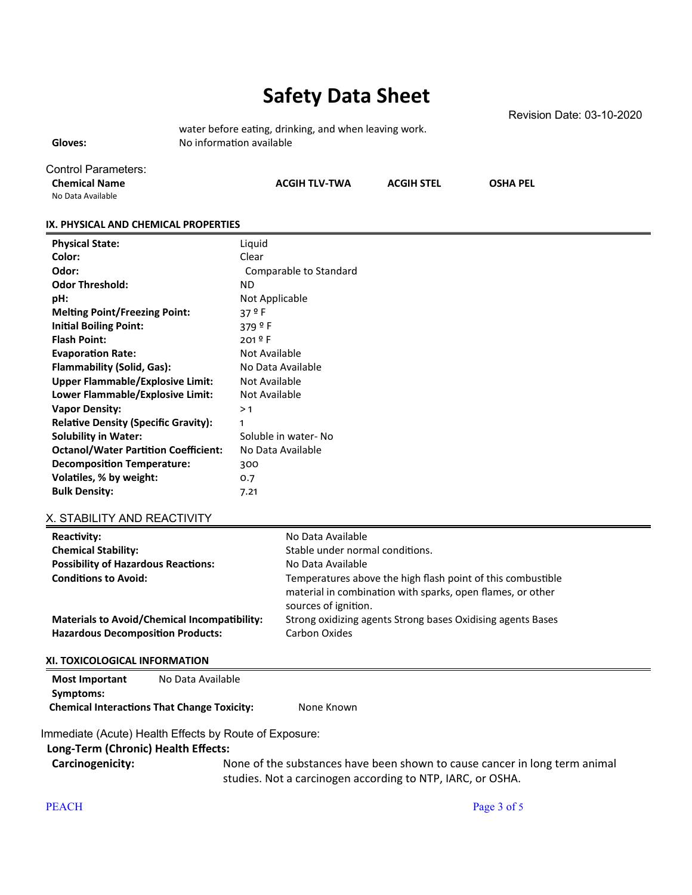# **Safety Data Sheet**

water before eating, drinking, and when leaving work. Gloves: No information available

Revision Date: 03-10-2020

Control Parameters:

**Chemical Name ACGIH TLV-TWA ACGIH STEL OSHA PEL**

No Data Available

## **IX. PHYSICAL AND CHEMICAL PROPERTIES**

| <b>Physical State:</b>                      | Liquid                 |
|---------------------------------------------|------------------------|
| Color:                                      | Clear                  |
| Odor:                                       | Comparable to Standard |
| <b>Odor Threshold:</b>                      | ND.                    |
| pH:                                         | Not Applicable         |
| <b>Melting Point/Freezing Point:</b>        | 37 º F                 |
| <b>Initial Boiling Point:</b>               | 379 $9 F$              |
| <b>Flash Point:</b>                         | 201 º F                |
| <b>Evaporation Rate:</b>                    | Not Available          |
| Flammability (Solid, Gas):                  | No Data Available      |
| <b>Upper Flammable/Explosive Limit:</b>     | Not Available          |
| Lower Flammable/Explosive Limit:            | Not Available          |
| <b>Vapor Density:</b>                       | >1                     |
| <b>Relative Density (Specific Gravity):</b> | 1                      |
| <b>Solubility in Water:</b>                 | Soluble in water-No    |
| <b>Octanol/Water Partition Coefficient:</b> | No Data Available      |
| <b>Decomposition Temperature:</b>           | 300                    |
| Volatiles, % by weight:                     | 0.7                    |
| <b>Bulk Density:</b>                        | 7.21                   |

## X. STABILITY AND REACTIVITY

| Reactivity:                                                                                     | No Data Available                                                                                                                                 |
|-------------------------------------------------------------------------------------------------|---------------------------------------------------------------------------------------------------------------------------------------------------|
| <b>Chemical Stability:</b>                                                                      | Stable under normal conditions.                                                                                                                   |
| <b>Possibility of Hazardous Reactions:</b>                                                      | No Data Available                                                                                                                                 |
| <b>Conditions to Avoid:</b>                                                                     | Temperatures above the high flash point of this combustible<br>material in combination with sparks, open flames, or other<br>sources of ignition. |
| <b>Materials to Avoid/Chemical Incompatibility:</b><br><b>Hazardous Decomposition Products:</b> | Strong oxidizing agents Strong bases Oxidising agents Bases<br>Carbon Oxides                                                                      |
|                                                                                                 |                                                                                                                                                   |

## **XI. TOXICOLOGICAL INFORMATION**

| Most Important                                     | No Data Available |            |
|----------------------------------------------------|-------------------|------------|
| Symptoms:                                          |                   |            |
| <b>Chemical Interactions That Change Toxicity:</b> |                   | None Known |

Immediate (Acute) Health Effects by Route of Exposure:

## **Long-Term (Chronic) Health Effects:**

**Carcinogenicity:** None of the substances have been shown to cause cancer in long term animal studies. Not a carcinogen according to NTP, IARC, or OSHA.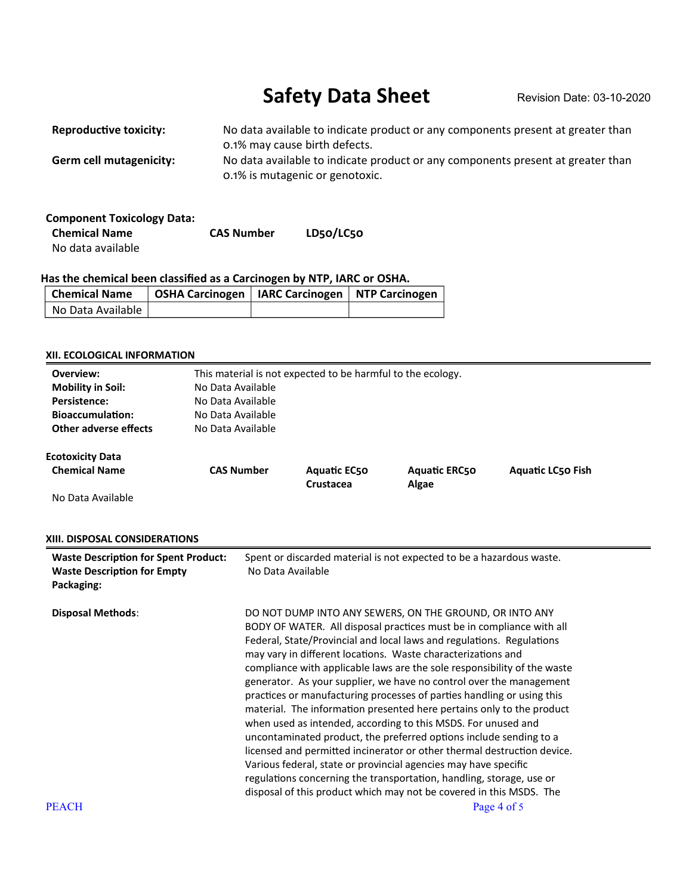# Safety Data Sheet Revision Date: 03-10-2020

| <b>Reproductive toxicity:</b> | No data available to indicate product or any components present at greater than<br>0.1% may cause birth defects.   |
|-------------------------------|--------------------------------------------------------------------------------------------------------------------|
| Germ cell mutagenicity:       | No data available to indicate product or any components present at greater than<br>0.1% is mutagenic or genotoxic. |

| <b>Component Toxicology Data:</b> |                   |           |
|-----------------------------------|-------------------|-----------|
| <b>Chemical Name</b>              | <b>CAS Number</b> | LD50/LC50 |
| No data available                 |                   |           |

## **Has the chemical been classified as a Carcinogen by NTP, IARC or OSHA.**

| Chemical Name     | OSHA Carcinogen   IARC Carcinogen   NTP Carcinogen |  |
|-------------------|----------------------------------------------------|--|
| No Data Available |                                                    |  |

## **XII. ECOLOGICAL INFORMATION**

| Overview:                                                                                       | This material is not expected to be harmful to the ecology. |                                                                                                                                                                                                                                                                                                                                                                                                                                                                                                                                                                                                                                                                                                                                                                                                                                                                                                                                                                                                                    |                      |                          |  |  |  |
|-------------------------------------------------------------------------------------------------|-------------------------------------------------------------|--------------------------------------------------------------------------------------------------------------------------------------------------------------------------------------------------------------------------------------------------------------------------------------------------------------------------------------------------------------------------------------------------------------------------------------------------------------------------------------------------------------------------------------------------------------------------------------------------------------------------------------------------------------------------------------------------------------------------------------------------------------------------------------------------------------------------------------------------------------------------------------------------------------------------------------------------------------------------------------------------------------------|----------------------|--------------------------|--|--|--|
| <b>Mobility in Soil:</b>                                                                        | No Data Available                                           |                                                                                                                                                                                                                                                                                                                                                                                                                                                                                                                                                                                                                                                                                                                                                                                                                                                                                                                                                                                                                    |                      |                          |  |  |  |
| <b>Persistence:</b>                                                                             | No Data Available                                           |                                                                                                                                                                                                                                                                                                                                                                                                                                                                                                                                                                                                                                                                                                                                                                                                                                                                                                                                                                                                                    |                      |                          |  |  |  |
| <b>Bioaccumulation:</b>                                                                         | No Data Available                                           |                                                                                                                                                                                                                                                                                                                                                                                                                                                                                                                                                                                                                                                                                                                                                                                                                                                                                                                                                                                                                    |                      |                          |  |  |  |
| <b>Other adverse effects</b>                                                                    | No Data Available                                           |                                                                                                                                                                                                                                                                                                                                                                                                                                                                                                                                                                                                                                                                                                                                                                                                                                                                                                                                                                                                                    |                      |                          |  |  |  |
| <b>Ecotoxicity Data</b>                                                                         |                                                             |                                                                                                                                                                                                                                                                                                                                                                                                                                                                                                                                                                                                                                                                                                                                                                                                                                                                                                                                                                                                                    |                      |                          |  |  |  |
| <b>Chemical Name</b>                                                                            | <b>CAS Number</b>                                           | <b>Aquatic EC50</b>                                                                                                                                                                                                                                                                                                                                                                                                                                                                                                                                                                                                                                                                                                                                                                                                                                                                                                                                                                                                | <b>Aquatic ERC50</b> | <b>Aquatic LC50 Fish</b> |  |  |  |
|                                                                                                 |                                                             | Crustacea                                                                                                                                                                                                                                                                                                                                                                                                                                                                                                                                                                                                                                                                                                                                                                                                                                                                                                                                                                                                          | Algae                |                          |  |  |  |
| No Data Available                                                                               |                                                             |                                                                                                                                                                                                                                                                                                                                                                                                                                                                                                                                                                                                                                                                                                                                                                                                                                                                                                                                                                                                                    |                      |                          |  |  |  |
| XIII. DISPOSAL CONSIDERATIONS                                                                   |                                                             |                                                                                                                                                                                                                                                                                                                                                                                                                                                                                                                                                                                                                                                                                                                                                                                                                                                                                                                                                                                                                    |                      |                          |  |  |  |
| <b>Waste Description for Spent Product:</b><br><b>Waste Description for Empty</b><br>Packaging: |                                                             | Spent or discarded material is not expected to be a hazardous waste.<br>No Data Available                                                                                                                                                                                                                                                                                                                                                                                                                                                                                                                                                                                                                                                                                                                                                                                                                                                                                                                          |                      |                          |  |  |  |
| <b>Disposal Methods:</b>                                                                        |                                                             | DO NOT DUMP INTO ANY SEWERS, ON THE GROUND, OR INTO ANY<br>BODY OF WATER. All disposal practices must be in compliance with all<br>Federal, State/Provincial and local laws and regulations. Regulations<br>may vary in different locations. Waste characterizations and<br>compliance with applicable laws are the sole responsibility of the waste<br>generator. As your supplier, we have no control over the management<br>practices or manufacturing processes of parties handling or using this<br>material. The information presented here pertains only to the product<br>when used as intended, according to this MSDS. For unused and<br>uncontaminated product, the preferred options include sending to a<br>licensed and permitted incinerator or other thermal destruction device.<br>Various federal, state or provincial agencies may have specific<br>regulations concerning the transportation, handling, storage, use or<br>disposal of this product which may not be covered in this MSDS. The |                      |                          |  |  |  |
| <b>PEACH</b>                                                                                    |                                                             |                                                                                                                                                                                                                                                                                                                                                                                                                                                                                                                                                                                                                                                                                                                                                                                                                                                                                                                                                                                                                    |                      | Page 4 of 5              |  |  |  |